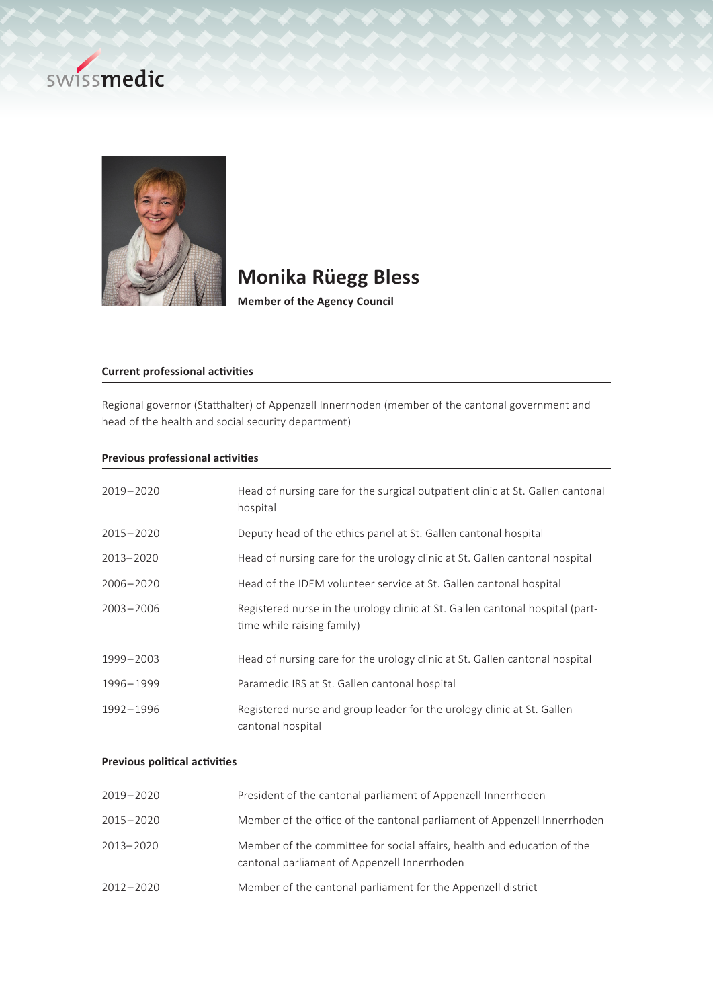



# **Monika Rüegg Bless**

**Member of the Agency Council**

## **Current professional activities**

Regional governor (Statthalter) of Appenzell Innerrhoden (member of the cantonal government and head of the health and social security department)

#### **Previous professional activities**

| $2019 - 2020$ | Head of nursing care for the surgical outpatient clinic at St. Gallen cantonal<br>hospital                  |
|---------------|-------------------------------------------------------------------------------------------------------------|
| $2015 - 2020$ | Deputy head of the ethics panel at St. Gallen cantonal hospital                                             |
| $2013 - 2020$ | Head of nursing care for the urology clinic at St. Gallen cantonal hospital                                 |
| $2006 - 2020$ | Head of the IDEM volunteer service at St. Gallen cantonal hospital                                          |
| $2003 - 2006$ | Registered nurse in the urology clinic at St. Gallen cantonal hospital (part-<br>time while raising family) |
| 1999-2003     | Head of nursing care for the urology clinic at St. Gallen cantonal hospital                                 |
| 1996-1999     | Paramedic IRS at St. Gallen cantonal hospital                                                               |
| 1992-1996     | Registered nurse and group leader for the urology clinic at St. Gallen<br>cantonal hospital                 |

### **Previous political activities**

| 2019-2020     | President of the cantonal parliament of Appenzell Innerrhoden                                                           |
|---------------|-------------------------------------------------------------------------------------------------------------------------|
| $2015 - 2020$ | Member of the office of the cantonal parliament of Appenzell Innerrhoden                                                |
| 2013-2020     | Member of the committee for social affairs, health and education of the<br>cantonal parliament of Appenzell Innerrhoden |
| $2012 - 2020$ | Member of the cantonal parliament for the Appenzell district                                                            |